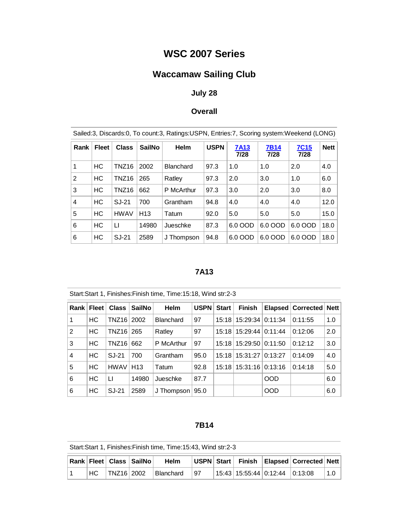# **WSC 2007 Series**

# **Waccamaw Sailing Club**

## **July 28**

### **Overall**

| Sailed:3, Discards:0, To count:3, Ratings:USPN, Entries:7, Scoring system:Weekend (LONG) |           |                   |                 |                  |                     |         |                     |             |      |
|------------------------------------------------------------------------------------------|-----------|-------------------|-----------------|------------------|---------------------|---------|---------------------|-------------|------|
| <b>Fleet</b><br><b>Class</b><br>Rank                                                     |           | <b>SailNo</b>     | Helm            | <b>USPN</b>      | <b>7A13</b><br>7/28 |         | <b>7C15</b><br>7/28 | <b>Nett</b> |      |
| 1                                                                                        | HC        | TNZ16             | 2002            | <b>Blanchard</b> | 97.3                | 1.0     | 1.0                 | 2.0         | 4.0  |
| 2                                                                                        | НC        | TNZ <sub>16</sub> | 265             | Ratley           | 97.3                | 2.0     | 3.0                 | 1.0         | 6.0  |
| 3                                                                                        | НC        | TNZ16             | 662             | P McArthur       | 97.3                | 3.0     | 2.0                 | 3.0         | 8.0  |
| $\overline{4}$                                                                           | НC        | SJ-21             | 700             | Grantham         | 94.8                | 4.0     | 4.0                 | 4.0         | 12.0 |
| 5                                                                                        | <b>HC</b> | <b>HWAV</b>       | H <sub>13</sub> | Tatum            | 92.0                | 5.0     | 5.0                 | 5.0         | 15.0 |
| 6                                                                                        | HC        | П                 | 14980           | Jueschke         | 87.3                | 6.0 OOD | 6.0 OOD             | 6.0 OOD     | 18.0 |
| 6                                                                                        | HC        | SJ-21             | 2589            | J Thompson       | 94.8                | 6.0 OOD | 6.0 OOD             | 6.0 OOD     | 18.0 |

## **7A13**

| Start:Start 1, Finishes:Finish time, Time:15:18, Wind str:2-3 |              |              |                 |                  |      |              |                            |            |                     |             |
|---------------------------------------------------------------|--------------|--------------|-----------------|------------------|------|--------------|----------------------------|------------|---------------------|-------------|
|                                                               | Rank   Fleet | Class        | <b>SailNo</b>   | <b>Helm</b>      | USPN | <b>Start</b> | <b>Finish</b>              |            | Elapsed   Corrected | <b>Nett</b> |
| 1                                                             | <b>HC</b>    | <b>TNZ16</b> | 2002            | <b>Blanchard</b> | 97   |              | 15:18   15:29:34           | 0:11:34    | 0:11:55             | 1.0         |
| 2                                                             | <b>HC</b>    | TNZ16 265    |                 | Ratley           | 97   |              | 15:18   15:29:44           | 0:11:44    | 0:12:06             | 2.0         |
| 3                                                             | <b>HC</b>    | <b>TNZ16</b> | 662             | P McArthur       | 97   |              | 15:18   15:29:50           | 0:11:50    | 0:12:12             | 3.0         |
| 4                                                             | <b>HC</b>    | SJ-21        | 700             | Grantham         | 95.0 |              | 15:18 15:31:27             | 0:13:27    | 0:14:09             | 4.0         |
| 5                                                             | <b>HC</b>    | <b>HWAV</b>  | H <sub>13</sub> | Tatum            | 92.8 |              | 15:18   15:31:16   0:13:16 |            | 0:14:18             | 5.0         |
| 6                                                             | <b>HC</b>    | LI           | 14980           | Jueschke         | 87.7 |              |                            | <b>OOD</b> |                     | 6.0         |
| 6                                                             | НC           | SJ-21        | 2589            | J Thompson       | 95.0 |              |                            | <b>OOD</b> |                     | 6.0         |

#### **7B14**

|  |  | Rank   Fleet   Class   SailNo | <b>Helm</b>                   |     |                                | USPN Start Finish Elapsed Corrected Nett |     |
|--|--|-------------------------------|-------------------------------|-----|--------------------------------|------------------------------------------|-----|
|  |  |                               | $ HC $ TNZ16 2002   Blanchard | 197 | 15:43 15:55:44 0:12:44 0:13:08 |                                          | 1.0 |